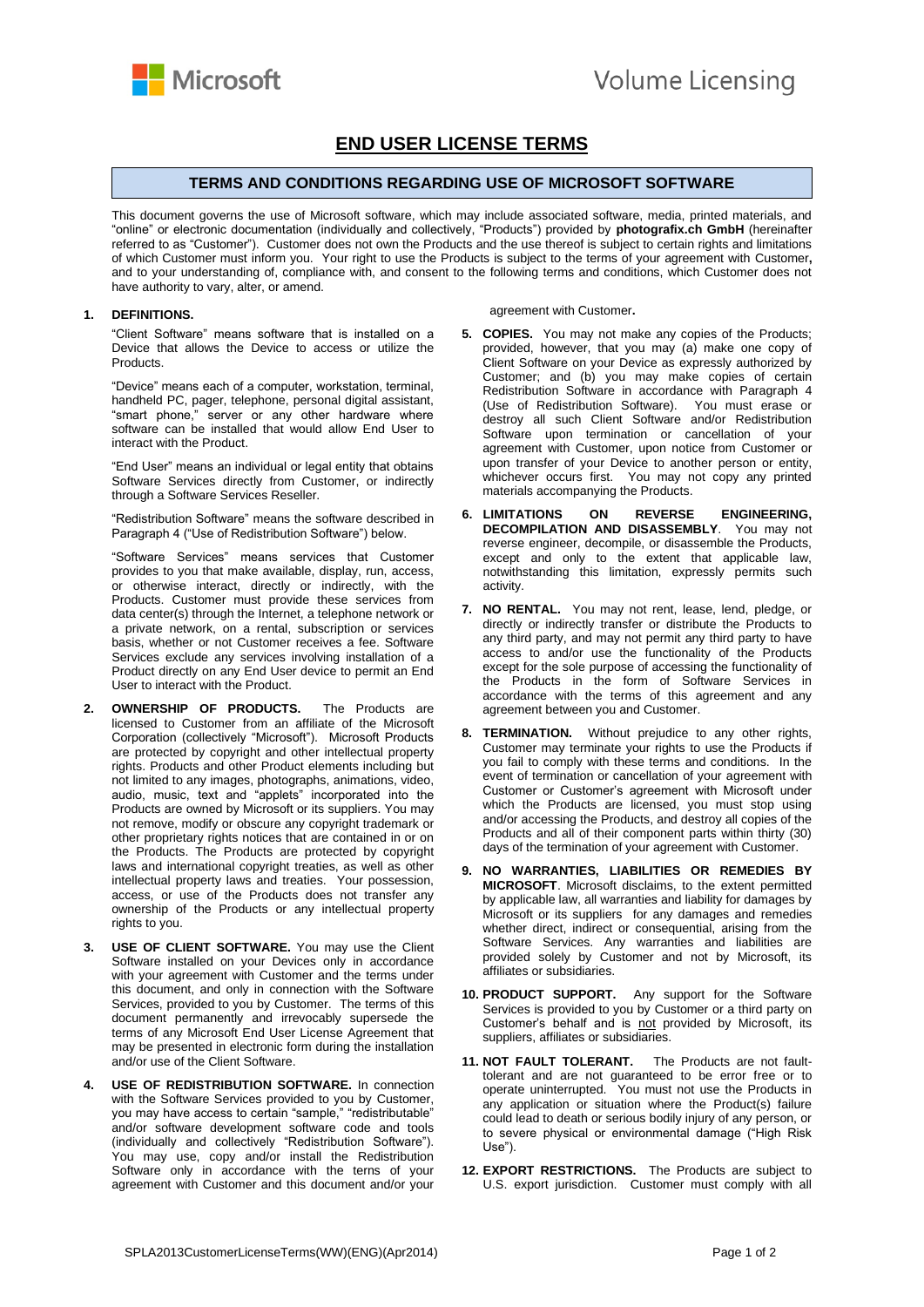

## **END USER LICENSE TERMS**

## **TERMS AND CONDITIONS REGARDING USE OF MICROSOFT SOFTWARE**

This document governs the use of Microsoft software, which may include associated software, media, printed materials, and "online" or electronic documentation (individually and collectively, "Products") provided by **photografix.ch GmbH** (hereinafter referred to as "Customer"). Customer does not own the Products and the use thereof is subject to certain rights and limitations of which Customer must inform you. Your right to use the Products is subject to the terms of your agreement with Customer**,** and to your understanding of, compliance with, and consent to the following terms and conditions, which Customer does not have authority to vary, alter, or amend.

## **1. DEFINITIONS.**

"Client Software" means software that is installed on a Device that allows the Device to access or utilize the **Products** 

"Device" means each of a computer, workstation, terminal, handheld PC, pager, telephone, personal digital assistant, "smart phone," server or any other hardware where software can be installed that would allow End User to interact with the Product.

"End User" means an individual or legal entity that obtains Software Services directly from Customer, or indirectly through a Software Services Reseller.

"Redistribution Software" means the software described in Paragraph 4 ("Use of Redistribution Software") below.

"Software Services" means services that Customer provides to you that make available, display, run, access, or otherwise interact, directly or indirectly, with the Products. Customer must provide these services from data center(s) through the Internet, a telephone network or a private network, on a rental, subscription or services basis, whether or not Customer receives a fee. Software Services exclude any services involving installation of a Product directly on any End User device to permit an End User to interact with the Product.

- **2. OWNERSHIP OF PRODUCTS.** The Products are licensed to Customer from an affiliate of the Microsoft Corporation (collectively "Microsoft"). Microsoft Products are protected by copyright and other intellectual property rights. Products and other Product elements including but not limited to any images, photographs, animations, video, audio, music, text and "applets" incorporated into the Products are owned by Microsoft or its suppliers. You may not remove, modify or obscure any copyright trademark or other proprietary rights notices that are contained in or on the Products. The Products are protected by copyright laws and international copyright treaties, as well as other intellectual property laws and treaties. Your possession, access, or use of the Products does not transfer any ownership of the Products or any intellectual property rights to you.
- **3. USE OF CLIENT SOFTWARE.** You may use the Client Software installed on your Devices only in accordance with your agreement with Customer and the terms under this document, and only in connection with the Software Services, provided to you by Customer. The terms of this document permanently and irrevocably supersede the terms of any Microsoft End User License Agreement that may be presented in electronic form during the installation and/or use of the Client Software.
- **4. USE OF REDISTRIBUTION SOFTWARE.** In connection with the Software Services provided to you by Customer, you may have access to certain "sample," "redistributable" and/or software development software code and tools (individually and collectively "Redistribution Software"). You may use, copy and/or install the Redistribution Software only in accordance with the terns of your agreement with Customer and this document and/or your

agreement with Customer**.** 

- **5. COPIES.** You may not make any copies of the Products; provided, however, that you may (a) make one copy of Client Software on your Device as expressly authorized by Customer; and (b) you may make copies of certain Redistribution Software in accordance with Paragraph 4 (Use of Redistribution Software). You must erase or destroy all such Client Software and/or Redistribution Software upon termination or cancellation of your agreement with Customer, upon notice from Customer or upon transfer of your Device to another person or entity, whichever occurs first. You may not copy any printed materials accompanying the Products.
- **6. LIMITATIONS ON REVERSE ENGINEERING, DECOMPILATION AND DISASSEMBLY**. You may not reverse engineer, decompile, or disassemble the Products, except and only to the extent that applicable law, notwithstanding this limitation, expressly permits such activity.
- **7. NO RENTAL.** You may not rent, lease, lend, pledge, or directly or indirectly transfer or distribute the Products to any third party, and may not permit any third party to have access to and/or use the functionality of the Products except for the sole purpose of accessing the functionality of the Products in the form of Software Services in accordance with the terms of this agreement and any agreement between you and Customer.
- **8. TERMINATION.** Without prejudice to any other rights, Customer may terminate your rights to use the Products if you fail to comply with these terms and conditions. In the event of termination or cancellation of your agreement with Customer or Customer's agreement with Microsoft under which the Products are licensed, you must stop using and/or accessing the Products, and destroy all copies of the Products and all of their component parts within thirty (30) days of the termination of your agreement with Customer.
- **9. NO WARRANTIES, LIABILITIES OR REMEDIES BY MICROSOFT**. Microsoft disclaims, to the extent permitted by applicable law, all warranties and liability for damages by Microsoft or its suppliers for any damages and remedies whether direct, indirect or consequential, arising from the Software Services. Any warranties and liabilities are provided solely by Customer and not by Microsoft, its affiliates or subsidiaries.
- **10. PRODUCT SUPPORT.** Any support for the Software Services is provided to you by Customer or a third party on Customer's behalf and is not provided by Microsoft, its suppliers, affiliates or subsidiaries.
- **11. NOT FAULT TOLERANT.** The Products are not faulttolerant and are not guaranteed to be error free or to operate uninterrupted. You must not use the Products in any application or situation where the Product(s) failure could lead to death or serious bodily injury of any person, or to severe physical or environmental damage ("High Risk Use").
- **12. EXPORT RESTRICTIONS.** The Products are subject to U.S. export jurisdiction. Customer must comply with all